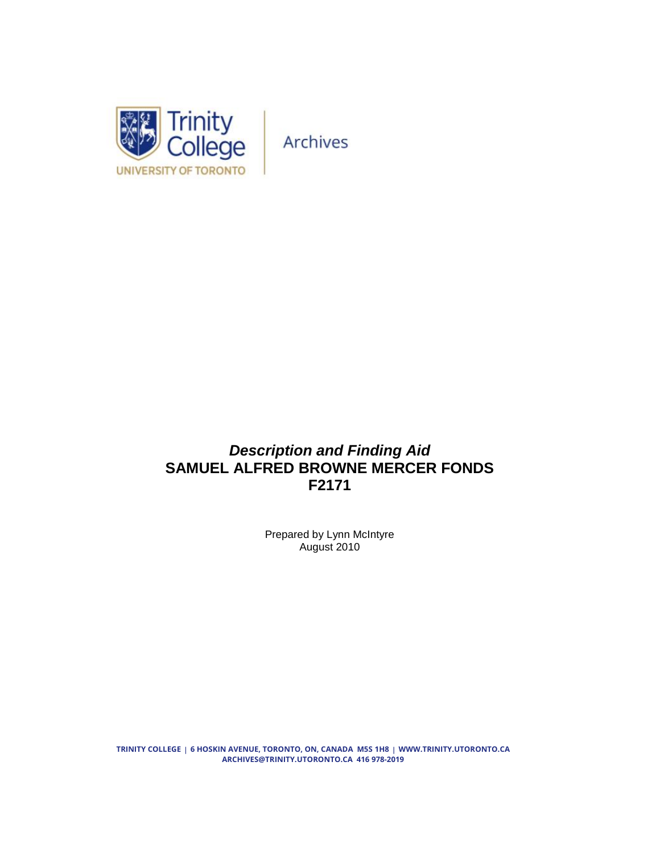

# *Description and Finding Aid* **SAMUEL ALFRED BROWNE MERCER FONDS F2171**

Prepared by Lynn McIntyre August 2010

**TRINITY COLLEGE 6 HOSKIN AVENUE, TORONTO, ON, CANADA M5S 1H8 WWW.TRINITY.UTORONTO.CA ARCHIVES@TRINITY.UTORONTO.CA 416 978-2019**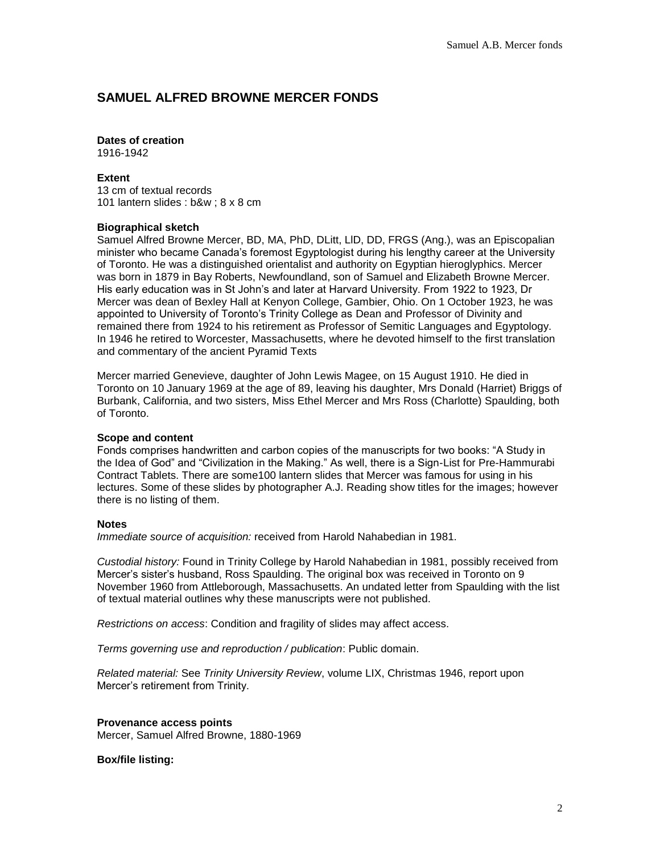### **SAMUEL ALFRED BROWNE MERCER FONDS**

## **Dates of creation**

1916-1942

#### **Extent**

13 cm of textual records 101 lantern slides : b&w ; 8 x 8 cm

#### **Biographical sketch**

Samuel Alfred Browne Mercer, BD, MA, PhD, DLitt, LlD, DD, FRGS (Ang.), was an Episcopalian minister who became Canada's foremost Egyptologist during his lengthy career at the University of Toronto. He was a distinguished orientalist and authority on Egyptian hieroglyphics. Mercer was born in 1879 in Bay Roberts, Newfoundland, son of Samuel and Elizabeth Browne Mercer. His early education was in St John's and later at Harvard University. From 1922 to 1923, Dr Mercer was dean of Bexley Hall at Kenyon College, Gambier, Ohio. On 1 October 1923, he was appointed to University of Toronto's Trinity College as Dean and Professor of Divinity and remained there from 1924 to his retirement as Professor of Semitic Languages and Egyptology. In 1946 he retired to Worcester, Massachusetts, where he devoted himself to the first translation and commentary of the ancient Pyramid Texts

Mercer married Genevieve, daughter of John Lewis Magee, on 15 August 1910. He died in Toronto on 10 January 1969 at the age of 89, leaving his daughter, Mrs Donald (Harriet) Briggs of Burbank, California, and two sisters, Miss Ethel Mercer and Mrs Ross (Charlotte) Spaulding, both of Toronto.

#### **Scope and content**

Fonds comprises handwritten and carbon copies of the manuscripts for two books: "A Study in the Idea of God" and "Civilization in the Making." As well, there is a Sign-List for Pre-Hammurabi Contract Tablets. There are some100 lantern slides that Mercer was famous for using in his lectures. Some of these slides by photographer A.J. Reading show titles for the images; however there is no listing of them.

#### **Notes**

*Immediate source of acquisition:* received from Harold Nahabedian in 1981.

*Custodial history:* Found in Trinity College by Harold Nahabedian in 1981, possibly received from Mercer's sister's husband, Ross Spaulding. The original box was received in Toronto on 9 November 1960 from Attleborough, Massachusetts. An undated letter from Spaulding with the list of textual material outlines why these manuscripts were not published.

*Restrictions on access*: Condition and fragility of slides may affect access.

*Terms governing use and reproduction / publication*: Public domain.

*Related material:* See *Trinity University Review*, volume LIX, Christmas 1946, report upon Mercer's retirement from Trinity.

#### **Provenance access points**

Mercer, Samuel Alfred Browne, 1880-1969

**Box/file listing:**